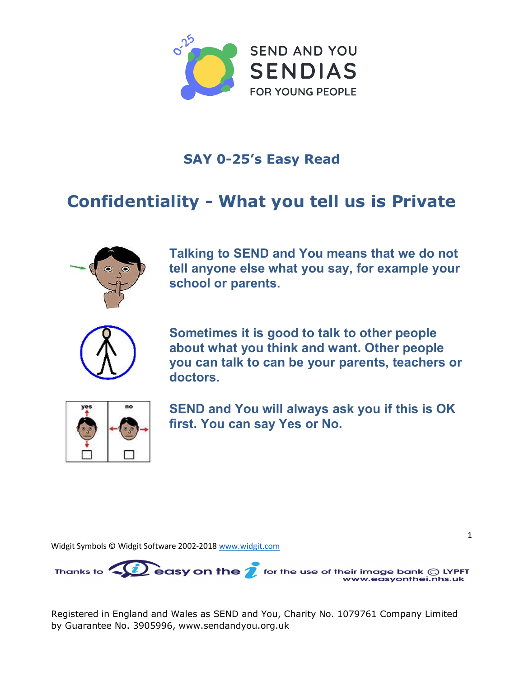

## **SAY 0**-25's Easy Read

## Confidentiality - What you tell us is Private



Talking to S**END and You** means that we do not tell anyone else what you say, for example your school or parents.



Sometimes it is good to talk to other people about what you think and want. Other people you can talk to can be your parents, teachers or doctors.



S**END and You** will always ask you if this is OK first. You can say Yes or No.

1

Widgit Symbols © Widgit Software 2002-2018 [www.widgit.com](http://www.widgit.com)



Registered in England and Wales as SEND and You, Charity No. 1079761 Company Limited by Guarantee No. 3905996, [www.sendandyou.org.uk](http://www.sendandyou.org.uk)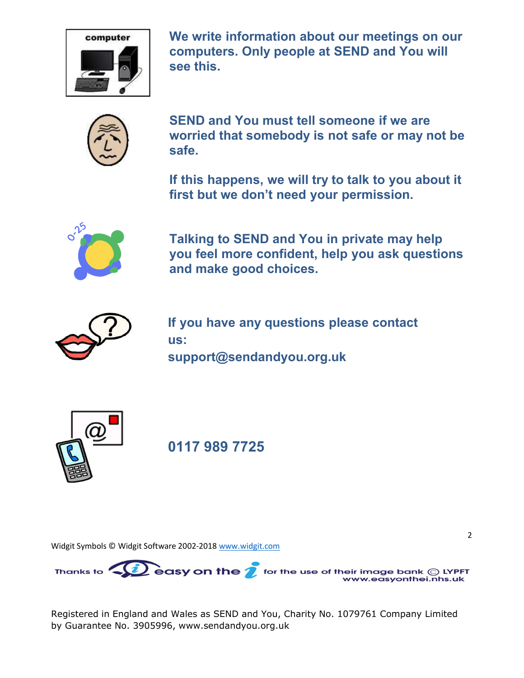

We write information about our meetings on our computers. Only people at **SEND and You** will see this.



**SEND and You** must tell someone if we are worried that somebody is not safe or may not be safe.

If this happens, we will try to talk to you about it first but we don't need your permission.



Talking to **SEND and You** in private may help you feel more confident, help you ask questions and make good choices.

2



If you have any questions please contact us: support@**[sendandyou](mailto:support@sendandyou.org.uk)**.org.uk



0117 989 7725

Widgit Symbols © Widgit Software 2002-2018 [www.widgit.com](http://www.widgit.com)



Registered in England and Wales as SEND and You, Charity No. 1079761 Company Limited by Guarantee No. 3905996, [www.sendandyou.org.uk](http://www.sendandyou.org.uk)